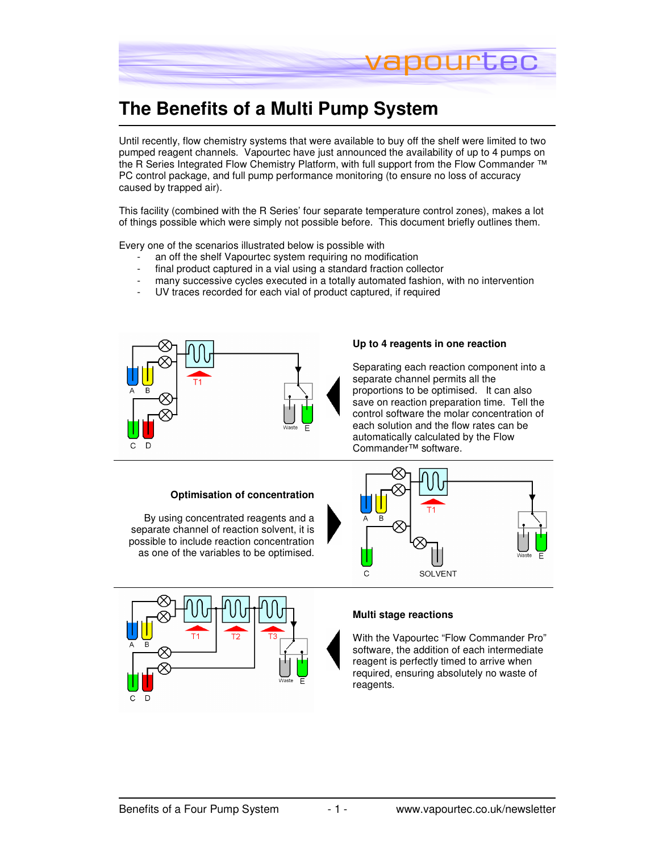

# **The Benefits of a Multi Pump System**

Until recently, flow chemistry systems that were available to buy off the shelf were limited to two pumped reagent channels. Vapourtec have just announced the availability of up to 4 pumps on the R Series Integrated Flow Chemistry Platform, with full support from the Flow Commander ™ PC control package, and full pump performance monitoring (to ensure no loss of accuracy caused by trapped air).

This facility (combined with the R Series' four separate temperature control zones), makes a lot of things possible which were simply not possible before. This document briefly outlines them.

Every one of the scenarios illustrated below is possible with

- an off the shelf Vapourtec system requiring no modification
- final product captured in a vial using a standard fraction collector
- many successive cycles executed in a totally automated fashion, with no intervention
- UV traces recorded for each vial of product captured, if required



### **Up to 4 reagents in one reaction**

Separating each reaction component into a separate channel permits all the proportions to be optimised. It can also save on reaction preparation time. Tell the control software the molar concentration of each solution and the flow rates can be automatically calculated by the Flow Commander™ software.

#### **Optimisation of concentration**

By using concentrated reagents and a separate channel of reaction solvent, it is possible to include reaction concentration as one of the variables to be optimised.





#### **Multi stage reactions**

With the Vapourtec "Flow Commander Pro" software, the addition of each intermediate reagent is perfectly timed to arrive when required, ensuring absolutely no waste of reagents.